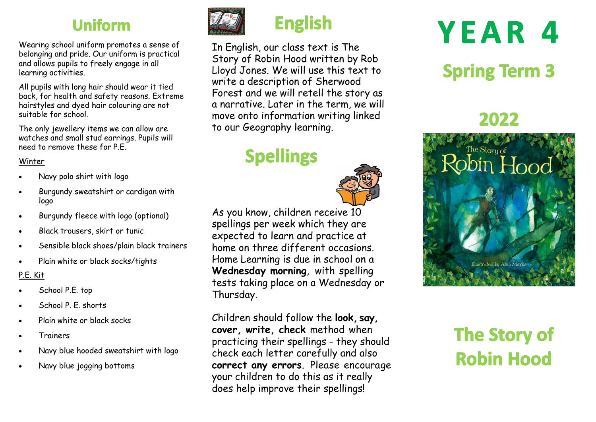## **Uniform**

Wearing school uniform promotes a sense of belonging and pride. Our uniform is practical and allows pupils to freely engage in all learning activities.

All pupils with long hair should wear it tied back, for health and safety reasons. Extreme hairstyles and dyed hair colouring are not suitable for school.

The only jewellery items we can allow are watches and small stud earrings. Pupils will need to remove these for P.E.

#### Winter

- Navy polo shirt with logo
- Burgundy sweatshirt or cardigan with logo
- Burgundy fleece with logo (optional)
- Black trousers, skirt or tunic
- Sensible black shoes/plain black trainers
- Plain white or black socks/tights

#### P.E. Kit

- School P.E. top
- School P. E. shorts
- Plain white or black socks
- Trainers
- Navy blue hooded sweatshirt with logo
- Navy blue jogging bottoms



## **English**

In English, our class text is The Story of Robin Hood written by Rob Lloyd Jones. We will use this text to write a description of Sherwood Forest and we will retell the story as a narrative. Later in the term, we will move onto information writing linked to our Geography learning.

# **Spellings**



As you know, children receive 10 spellings per week which they are expected to learn and practice at home on three different occasions. Home Learning is due in school on a **Wednesday morning**, with spelling tests taking place on a Wednesday or Thursday.

Children should follow the **look, say, cover, write, check** method when practicing their spellings - they should check each letter carefully and also **correct any errors**. Please encourage your children to do this as it really does help improve their spellings!

# **YEAR 4**

# **Spring Term 3**

## 2022



# **The Story of Robin Hood**